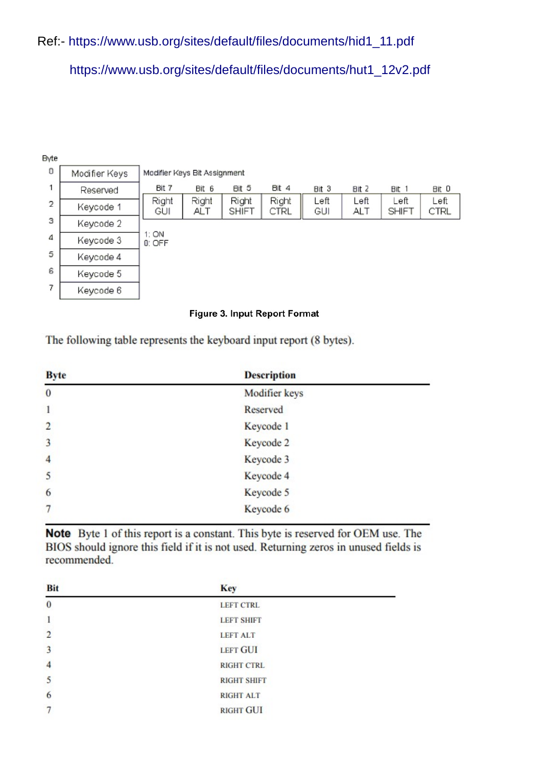## Ref:- [https://www.usb.org/sites/default/files/documents/hid1\\_11.pdf](https://www.usb.org/sites/default/files/documents/hid1_11.pdf)

[https://www.usb.org/sites/default/files/documents/hut1\\_12v2.pdf](https://www.usb.org/sites/default/files/documents/hut1_12v2.pdf)

| Byte           |               |                              |                     |                       |               |             |                    |                      |              |
|----------------|---------------|------------------------------|---------------------|-----------------------|---------------|-------------|--------------------|----------------------|--------------|
| 0              | Modifier Keys | Modifier Keys Bit Assignment |                     |                       |               |             |                    |                      |              |
|                | Reserved      | Bit 7                        | Bit 6               | Bit 5                 | <b>BIt 4</b>  | Bit 3       | Bit <sub>2</sub>   | Bit 1                | Bit 0        |
| $\overline{2}$ | Keycode 1     | Right<br>GUI                 | Right<br><b>ALT</b> | Right<br><b>SHIFT</b> | Right<br>CTRL | Left<br>GUI | Left<br><b>ALT</b> | Left<br><b>SHIFT</b> | Left<br>CTRL |
| 3              | Keycode 2     |                              |                     |                       |               |             |                    |                      |              |
| 4              | Keycode 3     | 1:ON<br>0: OFF               |                     |                       |               |             |                    |                      |              |
| 5              | Keycode 4     |                              |                     |                       |               |             |                    |                      |              |
| 6              | Keycode 5     |                              |                     |                       |               |             |                    |                      |              |
| 7              | Keycode 6     |                              |                     |                       |               |             |                    |                      |              |

## Figure 3. Input Report Format

The following table represents the keyboard input report (8 bytes).

| <b>Byte</b>             | <b>Description</b> |  |
|-------------------------|--------------------|--|
| $\bf{0}$                | Modifier keys      |  |
| $\mathbf{1}$            | Reserved           |  |
| $\overline{2}$          | Keycode 1          |  |
| $\overline{\mathbf{3}}$ | Keycode 2          |  |
| $\overline{4}$          | Keycode 3          |  |
| 5                       | Keycode 4          |  |
| 6                       | Keycode 5          |  |
| $\overline{7}$          | Keycode 6          |  |

Note Byte 1 of this report is a constant. This byte is reserved for OEM use. The BIOS should ignore this field if it is not used. Returning zeros in unused fields is recommended.

| <b>Bit</b>     | <b>Key</b>         |  |
|----------------|--------------------|--|
| $\bf{0}$       | <b>LEFT CTRL</b>   |  |
|                | <b>LEFT SHIFT</b>  |  |
| $\overline{2}$ | <b>LEFT ALT</b>    |  |
| $\overline{3}$ | <b>LEFT GUI</b>    |  |
| $\overline{4}$ | <b>RIGHT CTRL</b>  |  |
| 5              | <b>RIGHT SHIFT</b> |  |
| 6              | <b>RIGHT ALT</b>   |  |
| 7              | <b>RIGHT GUI</b>   |  |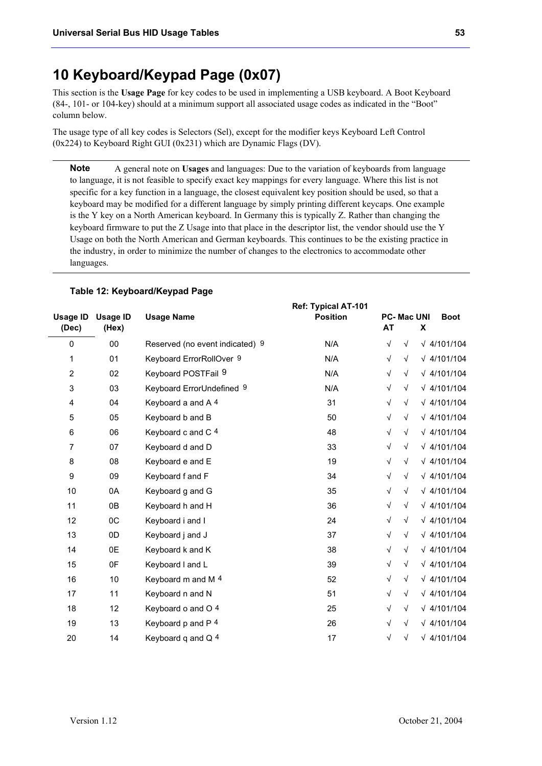# **10 Keyboard/Keypad Page (0x07)**

This section is the **Usage Page** for key codes to be used in implementing a USB keyboard. A Boot Keyboard (84-, 101- or 104-key) should at a minimum support all associated usage codes as indicated in the "Boot" column below.

The usage type of all key codes is Selectors (Sel), except for the modifier keys Keyboard Left Control (0x224) to Keyboard Right GUI (0x231) which are Dynamic Flags (DV).

A general note on **Usages** and languages: Due to the variation of keyboards from language to language, it is not feasible to specify exact key mappings for every language. Where this list is not specific for a key function in a language, the closest equivalent key position should be used, so that a keyboard may be modified for a different language by simply printing different keycaps. One example is the Y key on a North American keyboard. In Germany this is typically Z. Rather than changing the keyboard firmware to put the Z Usage into that place in the descriptor list, the vendor should use the Y Usage on both the North American and German keyboards. This continues to be the existing practice in the industry, in order to minimize the number of changes to the electronics to accommodate other languages. **Note** 

| <b>Usage ID</b>           | <b>Usage ID</b> | <b>Usage Name</b>               | <b>Ref: Typical AT-101</b><br><b>Position</b> | <b>PC-Mac UNI</b> |            |   | <b>Boot</b>        |
|---------------------------|-----------------|---------------------------------|-----------------------------------------------|-------------------|------------|---|--------------------|
| (Dec)                     | (Hex)           |                                 |                                               | <b>AT</b>         |            | X |                    |
| $\mathbf 0$               | 00              | Reserved (no event indicated) 9 | N/A                                           | $\sqrt{ }$        | $\sqrt{ }$ |   | $\sqrt{4/101/104}$ |
| 1                         | 01              | Keyboard ErrorRollOver 9        | N/A                                           | $\sqrt{ }$        | $\sqrt{ }$ |   | $\sqrt{4/101/104}$ |
| $\boldsymbol{2}$          | 02              | Keyboard POSTFail 9             | N/A                                           | $\sqrt{ }$        | $\sqrt{ }$ |   | $\sqrt{4/101/104}$ |
| $\ensuremath{\mathsf{3}}$ | 03              | Keyboard ErrorUndefined 9       | N/A                                           | $\sqrt{}$         | $\sqrt{ }$ |   | $\sqrt{4/101/104}$ |
| $\overline{\mathbf{4}}$   | 04              | Keyboard a and A 4              | 31                                            | $\sqrt{ }$        | $\sqrt{}$  |   | $\sqrt{4/101/104}$ |
| 5                         | 05              | Keyboard b and B                | 50                                            | $\sqrt{}$         | $\sqrt{ }$ |   | $\sqrt{4/101/104}$ |
| $\,6$                     | 06              | Keyboard c and C 4              | 48                                            | $\sqrt{}$         | $\sqrt{}$  |   | $\sqrt{4/101/104}$ |
| $\boldsymbol{7}$          | 07              | Keyboard d and D                | 33                                            | $\sqrt{}$         | $\sqrt{ }$ |   | $\sqrt{4/101/104}$ |
| 8                         | 08              | Keyboard e and E                | 19                                            | $\sqrt{}$         | $\sqrt{ }$ |   | $\sqrt{4/101/104}$ |
| $\boldsymbol{9}$          | 09              | Keyboard f and F                | 34                                            | $\sqrt{ }$        | $\sqrt{}$  |   | $\sqrt{4/101/104}$ |
| 10                        | 0A              | Keyboard g and G                | 35                                            | $\sqrt{}$         | $\sqrt{}$  |   | $\sqrt{4/101/104}$ |
| 11                        | 0B              | Keyboard h and H                | 36                                            | $\sqrt{}$         | $\sqrt{}$  |   | $\sqrt{4/101/104}$ |
| 12                        | OC              | Keyboard i and I                | 24                                            | $\sqrt{}$         | $\sqrt{ }$ |   | $\sqrt{4/101/104}$ |
| 13                        | 0D              | Keyboard j and J                | 37                                            | $\sqrt{}$         | $\sqrt{ }$ |   | $\sqrt{4/101/104}$ |
| 14                        | 0E              | Keyboard k and K                | 38                                            | $\sqrt{ }$        | $\sqrt{}$  |   | $\sqrt{4/101/104}$ |
| 15                        | 0F              | Keyboard I and L                | 39                                            | $\sqrt{}$         | $\sqrt{}$  |   | $\sqrt{4/101/104}$ |
| 16                        | $10$            | Keyboard m and M 4              | 52                                            | $\sqrt{}$         | $\sqrt{}$  |   | $\sqrt{4/101/104}$ |
| 17                        | 11              | Keyboard n and N                | 51                                            | $\sqrt{ }$        | $\sqrt{}$  |   | $\sqrt{4/101/104}$ |
| 18                        | 12              | Keyboard o and O 4              | 25                                            | $\sqrt{}$         | $\sqrt{}$  |   | $\sqrt{4/101/104}$ |
| 19                        | 13              | Keyboard p and P 4              | 26                                            | $\sqrt{ }$        | $\sqrt{}$  |   | $\sqrt{4/101/104}$ |
| 20                        | 14              | Keyboard q and Q 4              | 17                                            | $\sqrt{}$         | $\sqrt{ }$ |   | $\sqrt{4/101/104}$ |

### **Table 12: Keyboard/Keypad Page**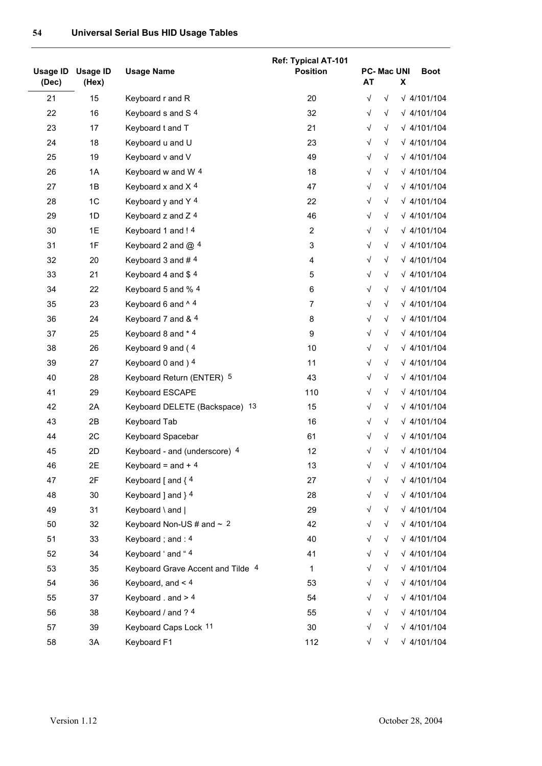|                   |                          |                                   | <b>Ref: Typical AT-101</b> |           |                   |   |                    |
|-------------------|--------------------------|-----------------------------------|----------------------------|-----------|-------------------|---|--------------------|
| Usage ID<br>(Dec) | <b>Usage ID</b><br>(Hex) | <b>Usage Name</b>                 | <b>Position</b>            | <b>AT</b> | <b>PC-Mac UNI</b> | X | <b>Boot</b>        |
| 21                | 15                       | Keyboard r and R                  | 20                         | $\sqrt{}$ | $\sqrt{ }$        |   | $\sqrt{4/101/104}$ |
| 22                | 16                       | Keyboard s and S 4                | 32                         | √         | $\sqrt{}$         |   | $\sqrt{4/101/104}$ |
| 23                | 17                       | Keyboard t and T                  | 21                         | $\sqrt{}$ | $\sqrt{}$         |   | $\sqrt{4/101/104}$ |
| 24                | 18                       | Keyboard u and U                  | 23                         | $\sqrt{}$ | $\sqrt{}$         |   | $\sqrt{4/101/104}$ |
| 25                | 19                       | Keyboard v and V                  | 49                         | $\sqrt{}$ | $\sqrt{}$         |   | $\sqrt{4/101/104}$ |
| 26                | 1A                       | Keyboard w and W 4                | 18                         | √         | $\sqrt{}$         |   | $\sqrt{4/101/104}$ |
| 27                | 1B                       | Keyboard x and X 4                | 47                         | $\sqrt{}$ | $\sqrt{}$         |   | $\sqrt{4/101/104}$ |
| 28                | 1C                       | Keyboard y and Y 4                | 22                         | $\sqrt{}$ | $\sqrt{}$         |   | $\sqrt{4/101/104}$ |
| 29                | 1D                       | Keyboard z and Z 4                | 46                         | √         | $\sqrt{}$         |   | $\sqrt{4/101/104}$ |
| 30                | 1E                       | Keyboard 1 and ! 4                | $\overline{c}$             | √         | $\sqrt{}$         |   | $\sqrt{4/101/104}$ |
| 31                | 1F                       | Keyboard 2 and @ 4                | $\ensuremath{\mathsf{3}}$  | $\sqrt{}$ | $\sqrt{}$         |   | $\sqrt{4/101/104}$ |
| 32                | 20                       | Keyboard 3 and #4                 | 4                          | √         | $\sqrt{}$         |   | $\sqrt{4/101/104}$ |
| 33                | 21                       | Keyboard 4 and \$4                | $\mathbf 5$                | √         | $\sqrt{}$         |   | $\sqrt{4/101/104}$ |
| 34                | 22                       | Keyboard 5 and % 4                | $\,6\,$                    | √         | $\sqrt{}$         |   | $\sqrt{4/101/104}$ |
| 35                | 23                       | Keyboard 6 and ^4                 | $\overline{7}$             | √         | $\sqrt{}$         |   | $\sqrt{4/101/104}$ |
| 36                | 24                       | Keyboard 7 and & 4                | 8                          | √         | $\sqrt{}$         |   | $\sqrt{4/101/104}$ |
| 37                | 25                       | Keyboard 8 and * 4                | 9                          | $\sqrt{}$ | $\sqrt{}$         |   | $\sqrt{4/101/104}$ |
| 38                | 26                       | Keyboard 9 and (4                 | 10                         | √         | $\sqrt{}$         |   | $\sqrt{4/101/104}$ |
| 39                | 27                       | Keyboard 0 and ) 4                | 11                         | $\sqrt{}$ | $\sqrt{}$         |   | $\sqrt{4/101/104}$ |
| 40                | 28                       | Keyboard Return (ENTER) 5         | 43                         | √         | $\sqrt{}$         |   | $\sqrt{4/101/104}$ |
| 41                | 29                       | Keyboard ESCAPE                   | 110                        | $\sqrt{}$ | $\sqrt{}$         |   | $\sqrt{4/101/104}$ |
| 42                | 2A                       | Keyboard DELETE (Backspace) 13    | 15                         | $\sqrt{}$ | $\sqrt{}$         |   | $\sqrt{4/101/104}$ |
| 43                | 2B                       | Keyboard Tab                      | 16                         | $\sqrt{}$ | $\sqrt{}$         |   | $\sqrt{4/101/104}$ |
| 44                | 2C                       | Keyboard Spacebar                 | 61                         | √         | $\sqrt{}$         |   | $\sqrt{4/101/104}$ |
| 45                | 2D                       | Keyboard - and (underscore) 4     | 12                         | √         | $\sqrt{}$         |   | $\sqrt{4/101/104}$ |
| 46                | 2E                       | Keyboard = and $+4$               | 13                         | √         | $\sqrt{}$         |   | $\sqrt{4/101/104}$ |
| 47                | 2F                       | Keyboard $\lceil$ and $\lceil$ 4  | 27                         | $\sqrt{}$ | $\sqrt{}$         |   | $\sqrt{4/101/104}$ |
| 48                | 30                       | Keyboard ] and } 4                | 28                         | $\sqrt{}$ | $\sqrt{}$         |   | $\sqrt{4/101/104}$ |
| 49                | 31                       | Keyboard \ and                    | 29                         | $\sqrt{}$ | $\sqrt{}$         |   | $\sqrt{4/101/104}$ |
| 50                | 32                       | Keyboard Non-US # and $\sim 2$    | 42                         | $\sqrt{}$ | $\sqrt{}$         |   | $\sqrt{4/101/104}$ |
| 51                | 33                       | Keyboard; and: 4                  | 40                         | $\sqrt{}$ | $\sqrt{}$         |   | $\sqrt{4/101/104}$ |
| 52                | 34                       | Keyboard ' and " 4                | 41                         | √         | $\sqrt{}$         |   | $\sqrt{4/101/104}$ |
| 53                | 35                       | Keyboard Grave Accent and Tilde 4 | $\mathbf{1}$               | $\sqrt{}$ | $\sqrt{}$         |   | $\sqrt{4/101/104}$ |
| 54                | 36                       | Keyboard, and $<$ 4               | 53                         | $\sqrt{}$ | $\sqrt{}$         |   | $\sqrt{4/101/104}$ |
| 55                | 37                       | Keyboard . and $> 4$              | 54                         | √         | $\sqrt{}$         |   | $\sqrt{4/101/104}$ |
| 56                | 38                       | Keyboard / and ? 4                | 55                         | $\sqrt{}$ | $\sqrt{}$         |   | $\sqrt{4/101/104}$ |
| 57                | 39                       | Keyboard Caps Lock 11             | 30                         | $\sqrt{}$ | $\sqrt{}$         |   | $\sqrt{4/101/104}$ |
| 58                | 3A                       | Keyboard F1                       | 112                        | $\sqrt{}$ | $\sqrt{}$         |   | $\sqrt{4/101/104}$ |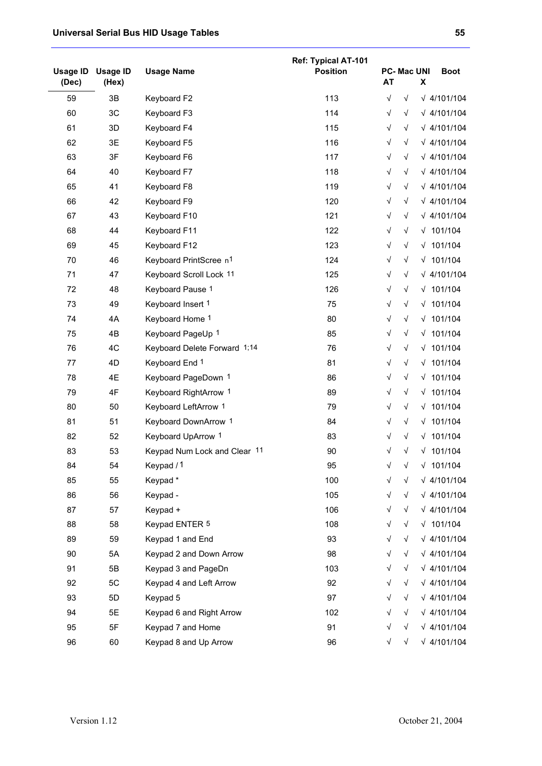|                          |                          |                                    | <b>Ref: Typical AT-101</b> |                                |            |   |                    |
|--------------------------|--------------------------|------------------------------------|----------------------------|--------------------------------|------------|---|--------------------|
| <b>Usage ID</b><br>(Dec) | <b>Usage ID</b><br>(Hex) | <b>Usage Name</b>                  | <b>Position</b>            | <b>PC-Mac UNI</b><br><b>AT</b> |            | X | <b>Boot</b>        |
| 59                       | 3B                       | Keyboard F2                        | 113                        | $\sqrt{ }$                     | $\sqrt{}$  |   | $\sqrt{4/101/104}$ |
| 60                       | 3C                       | Keyboard F3                        | 114                        | √                              | $\sqrt{}$  |   | $\sqrt{4/101/104}$ |
| 61                       | 3D                       | Keyboard F4                        | 115                        | $\sqrt{}$                      | $\sqrt{}$  |   | $\sqrt{4/101/104}$ |
| 62                       | 3E                       | Keyboard F5                        | 116                        | $\sqrt{}$                      | $\sqrt{}$  |   | $\sqrt{4/101/104}$ |
| 63                       | 3F                       | Keyboard F6                        | 117                        | $\sqrt{}$                      | $\sqrt{}$  |   | $\sqrt{4/101/104}$ |
| 64                       | 40                       | Keyboard F7                        | 118                        | $\sqrt{}$                      | $\sqrt{}$  |   | $\sqrt{4/101/104}$ |
| 65                       | 41                       | Keyboard F8                        | 119                        | $\sqrt{}$                      | $\sqrt{ }$ |   | $\sqrt{4/101/104}$ |
| 66                       | 42                       | Keyboard F9                        | 120                        | $\sqrt{}$                      | $\sqrt{}$  |   | $\sqrt{4/101/104}$ |
| 67                       | 43                       | Keyboard F10                       | 121                        | $\sqrt{}$                      | $\sqrt{}$  |   | $\sqrt{4/101/104}$ |
| 68                       | 44                       | Keyboard F11                       | 122                        | $\sqrt{}$                      | $\sqrt{}$  |   | $\sqrt{101/104}$   |
| 69                       | 45                       | Keyboard F12                       | 123                        | $\sqrt{}$                      | $\sqrt{}$  |   | $\sqrt{101/104}$   |
| 70                       | 46                       | Keyboard PrintScree n <sup>1</sup> | 124                        | $\sqrt{}$                      | $\sqrt{}$  |   | $\sqrt{101/104}$   |
| 71                       | 47                       | Keyboard Scroll Lock 11            | 125                        | $\sqrt{}$                      | $\sqrt{}$  |   | $\sqrt{4/101/104}$ |
| 72                       | 48                       | Keyboard Pause 1                   | 126                        | √                              | $\sqrt{}$  |   | $\sqrt{101/104}$   |
| 73                       | 49                       | Keyboard Insert 1                  | 75                         | $\sqrt{}$                      | $\sqrt{}$  |   | $\sqrt{101/104}$   |
| 74                       | 4A                       | Keyboard Home 1                    | 80                         | $\sqrt{}$                      | $\sqrt{}$  |   | $\sqrt{101/104}$   |
| 75                       | 4B                       | Keyboard PageUp 1                  | 85                         | $\sqrt{}$                      | $\sqrt{}$  |   | $\sqrt{101/104}$   |
| 76                       | 4C                       | Keyboard Delete Forward 1;14       | 76                         | $\sqrt{}$                      | $\sqrt{}$  |   | $\sqrt{101/104}$   |
| 77                       | 4D                       | Keyboard End 1                     | 81                         | $\sqrt{}$                      | $\sqrt{}$  |   | $\sqrt{101/104}$   |
| 78                       | 4E                       | Keyboard PageDown 1                | 86                         | $\sqrt{}$                      | $\sqrt{}$  |   | $\sqrt{101/104}$   |
| 79                       | 4F                       | Keyboard RightArrow 1              | 89                         | $\sqrt{}$                      | $\sqrt{}$  |   | $\sqrt{101/104}$   |
| 80                       | 50                       | Keyboard LeftArrow 1               | 79                         | $\sqrt{}$                      | $\sqrt{ }$ |   | $\sqrt{101/104}$   |
| 81                       | 51                       | Keyboard DownArrow 1               | 84                         | $\sqrt{}$                      | $\sqrt{}$  |   | $\sqrt{101/104}$   |
| 82                       | 52                       | Keyboard UpArrow 1                 | 83                         | $\sqrt{}$                      | $\sqrt{}$  |   | $\sqrt{101/104}$   |
| 83                       | 53                       | Keypad Num Lock and Clear 11       | 90                         | $\sqrt{}$                      | $\sqrt{}$  |   | $\sqrt{101/104}$   |
| 84                       | 54                       | Keypad / 1                         | 95                         |                                | $\sqrt{ }$ |   | $\sqrt{101/104}$   |
| 85                       | 55                       | Keypad*                            | 100                        | $\sqrt{}$                      | $\sqrt{}$  |   | $\sqrt{4/101/104}$ |
| 86                       | 56                       | Keypad -                           | 105                        | $\sqrt{}$                      | $\sqrt{}$  |   | $\sqrt{4/101/104}$ |
| 87                       | 57                       | Keypad +                           | 106                        | $\sqrt{}$                      | $\sqrt{}$  |   | $\sqrt{4/101/104}$ |
| 88                       | 58                       | Keypad ENTER 5                     | 108                        | $\sqrt{}$                      | $\sqrt{}$  |   | $\sqrt{101/104}$   |
| 89                       | 59                       | Keypad 1 and End                   | 93                         | $\sqrt{}$                      | $\sqrt{}$  |   | $\sqrt{4/101/104}$ |
| 90                       | 5A                       | Keypad 2 and Down Arrow            | 98                         | $\sqrt{}$                      | $\sqrt{}$  |   | $\sqrt{4/101/104}$ |
| 91                       | 5B                       | Keypad 3 and PageDn                | 103                        | $\sqrt{}$                      | $\sqrt{}$  |   | $\sqrt{4/101/104}$ |
| 92                       | 5C                       | Keypad 4 and Left Arrow            | 92                         | $\sqrt{}$                      | $\sqrt{}$  |   | $\sqrt{4/101/104}$ |
| 93                       | 5D                       | Keypad 5                           | 97                         | $\sqrt{}$                      | $\sqrt{}$  |   | $\sqrt{4/101/104}$ |
| 94                       | 5E                       | Keypad 6 and Right Arrow           | 102                        | $\sqrt{}$                      | $\sqrt{}$  |   | $\sqrt{4/101/104}$ |
| 95                       | 5F                       | Keypad 7 and Home                  | 91                         | $\sqrt{}$                      | √          |   | $\sqrt{4/101/104}$ |
| 96                       | 60                       | Keypad 8 and Up Arrow              | 96                         | √                              | $\sqrt{}$  |   | $\sqrt{4/101/104}$ |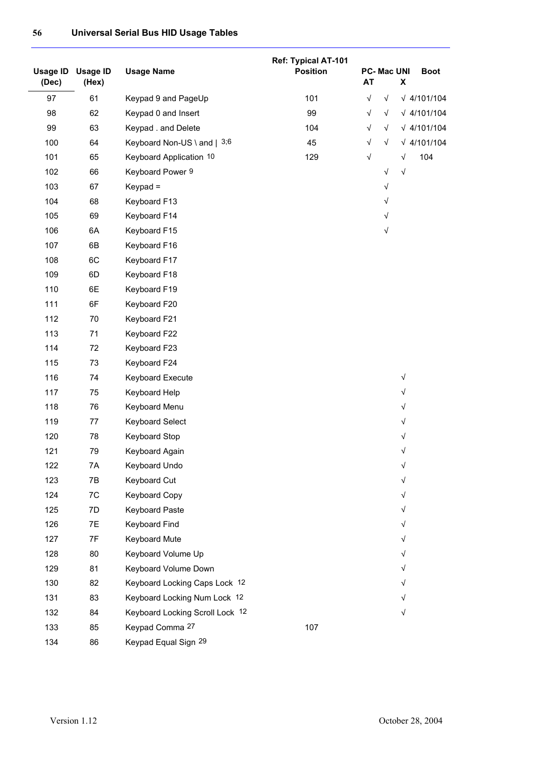| Usage ID<br>(Dec) | <b>Usage ID</b><br>(Hex) | <b>Usage Name</b>               | Ref: Typical AT-101<br><b>Position</b> | <b>AT</b>  | <b>PC-Mac UNI</b> | X          | <b>Boot</b>        |
|-------------------|--------------------------|---------------------------------|----------------------------------------|------------|-------------------|------------|--------------------|
| 97                | 61                       | Keypad 9 and PageUp             | 101                                    | $\sqrt{ }$ | $\sqrt{ }$        |            | $\sqrt{4/101/104}$ |
| 98                | 62                       | Keypad 0 and Insert             | 99                                     | $\sqrt{}$  | $\sqrt{}$         |            | $\sqrt{4/101/104}$ |
| 99                | 63                       | Keypad . and Delete             | 104                                    | $\sqrt{ }$ | $\sqrt{}$         |            | $\sqrt{4/101/104}$ |
| 100               | 64                       | Keyboard Non-US \ and $ $ 3,6   | 45                                     | $\sqrt{ }$ | $\sqrt{}$         |            | $\sqrt{4/101/104}$ |
| 101               | 65                       | Keyboard Application 10         | 129                                    | $\sqrt{ }$ |                   | $\sqrt{}$  | 104                |
| 102               | 66                       | Keyboard Power 9                |                                        |            | $\sqrt{}$         | $\sqrt{}$  |                    |
| 103               | 67                       | Keypad =                        |                                        |            | $\sqrt{}$         |            |                    |
| 104               | 68                       | Keyboard F13                    |                                        |            | $\sqrt{}$         |            |                    |
| 105               | 69                       | Keyboard F14                    |                                        |            | $\sqrt{ }$        |            |                    |
| 106               | 6A                       | Keyboard F15                    |                                        |            | $\sqrt{}$         |            |                    |
| 107               | 6B                       | Keyboard F16                    |                                        |            |                   |            |                    |
| 108               | 6C                       | Keyboard F17                    |                                        |            |                   |            |                    |
| 109               | 6D                       | Keyboard F18                    |                                        |            |                   |            |                    |
| 110               | 6E                       | Keyboard F19                    |                                        |            |                   |            |                    |
| 111               | 6F                       | Keyboard F20                    |                                        |            |                   |            |                    |
| 112               | 70                       | Keyboard F21                    |                                        |            |                   |            |                    |
| 113               | 71                       | Keyboard F22                    |                                        |            |                   |            |                    |
| 114               | 72                       | Keyboard F23                    |                                        |            |                   |            |                    |
| 115               | 73                       | Keyboard F24                    |                                        |            |                   |            |                    |
| 116               | 74                       | Keyboard Execute                |                                        |            |                   | $\sqrt{}$  |                    |
| 117               | 75                       | Keyboard Help                   |                                        |            |                   | $\sqrt{}$  |                    |
| 118               | 76                       | Keyboard Menu                   |                                        |            |                   | $\sqrt{}$  |                    |
| 119               | 77                       | <b>Keyboard Select</b>          |                                        |            |                   | $\sqrt{}$  |                    |
| 120               | 78                       | Keyboard Stop                   |                                        |            |                   | $\sqrt{ }$ |                    |
| 121               | 79                       | Keyboard Again                  |                                        |            |                   | √          |                    |
| 122               | 7Α                       | Keyboard Undo                   |                                        |            |                   | √          |                    |
| 123               | 7B                       | Keyboard Cut                    |                                        |            |                   | $\sqrt{}$  |                    |
| 124               | 7C                       | <b>Keyboard Copy</b>            |                                        |            |                   | $\sqrt{}$  |                    |
| 125               | 7D                       | <b>Keyboard Paste</b>           |                                        |            |                   | √          |                    |
| 126               | 7E                       | <b>Keyboard Find</b>            |                                        |            |                   | $\sqrt{}$  |                    |
| 127               | 7F                       | <b>Keyboard Mute</b>            |                                        |            |                   | √          |                    |
| 128               | 80                       | Keyboard Volume Up              |                                        |            |                   | √          |                    |
| 129               | 81                       | Keyboard Volume Down            |                                        |            |                   | $\sqrt{}$  |                    |
| 130               | 82                       | Keyboard Locking Caps Lock 12   |                                        |            |                   | √          |                    |
| 131               | 83                       | Keyboard Locking Num Lock 12    |                                        |            |                   | √          |                    |
| 132               | 84                       | Keyboard Locking Scroll Lock 12 |                                        |            |                   | $\sqrt{}$  |                    |
| 133               | 85                       | Keypad Comma 27                 | 107                                    |            |                   |            |                    |
| 134               | 86                       | Keypad Equal Sign 29            |                                        |            |                   |            |                    |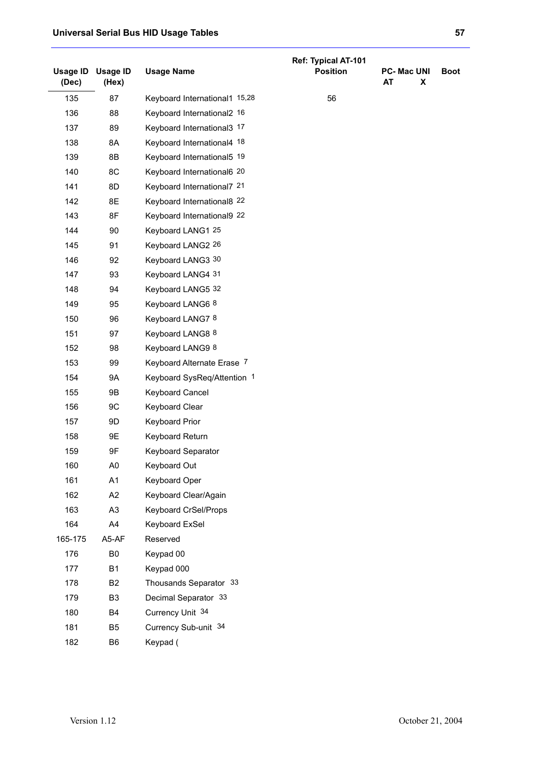|                          |                          |                               | Ref: Typical AT-101 |                                    |             |
|--------------------------|--------------------------|-------------------------------|---------------------|------------------------------------|-------------|
| <b>Usage ID</b><br>(Dec) | <b>Usage ID</b><br>(Hex) | <b>Usage Name</b>             | <b>Position</b>     | <b>PC-MacUNI</b><br><b>AT</b><br>X | <b>Boot</b> |
| 135                      | 87                       | Keyboard International1 15,28 | 56                  |                                    |             |
| 136                      | 88                       | Keyboard International2 16    |                     |                                    |             |
| 137                      | 89                       | Keyboard International3 17    |                     |                                    |             |
| 138                      | 8A                       | Keyboard International4 18    |                     |                                    |             |
| 139                      | 8B                       | Keyboard International5 19    |                     |                                    |             |
| 140                      | 8C                       | Keyboard International6 20    |                     |                                    |             |
| 141                      | 8D                       | Keyboard International7 21    |                     |                                    |             |
| 142                      | 8E                       | Keyboard International8 22    |                     |                                    |             |
| 143                      | 8F                       | Keyboard International9 22    |                     |                                    |             |
| 144                      | 90                       | Keyboard LANG1 25             |                     |                                    |             |
| 145                      | 91                       | Keyboard LANG2 26             |                     |                                    |             |
| 146                      | 92                       | Keyboard LANG3 30             |                     |                                    |             |
| 147                      | 93                       | Keyboard LANG4 31             |                     |                                    |             |
| 148                      | 94                       | Keyboard LANG5 32             |                     |                                    |             |
| 149                      | 95                       | Keyboard LANG6 8              |                     |                                    |             |
| 150                      | 96                       | Keyboard LANG7 8              |                     |                                    |             |
| 151                      | 97                       | Keyboard LANG8 8              |                     |                                    |             |
| 152                      | 98                       | Keyboard LANG9 8              |                     |                                    |             |
| 153                      | 99                       | Keyboard Alternate Erase 7    |                     |                                    |             |
| 154                      | <b>9A</b>                | Keyboard SysReq/Attention 1   |                     |                                    |             |
| 155                      | 9B                       | Keyboard Cancel               |                     |                                    |             |
| 156                      | 9C                       | Keyboard Clear                |                     |                                    |             |
| 157                      | 9D                       | Keyboard Prior                |                     |                                    |             |
| 158                      | 9E                       | Keyboard Return               |                     |                                    |             |
| 159                      | 9F                       | Keyboard Separator            |                     |                                    |             |
| 160                      | A0                       | Keyboard Out                  |                     |                                    |             |
| 161                      | A1                       | Keyboard Oper                 |                     |                                    |             |
| 162                      | A2                       | Keyboard Clear/Again          |                     |                                    |             |
| 163                      | A <sub>3</sub>           | Keyboard CrSel/Props          |                     |                                    |             |
| 164                      | A4                       | Keyboard ExSel                |                     |                                    |             |
| 165-175                  | A5-AF                    | Reserved                      |                     |                                    |             |
| 176                      | B <sub>0</sub>           | Keypad 00                     |                     |                                    |             |
| 177                      | <b>B1</b>                | Keypad 000                    |                     |                                    |             |
| 178                      | <b>B2</b>                | Thousands Separator 33        |                     |                                    |             |
| 179                      | B <sub>3</sub>           | Decimal Separator 33          |                     |                                    |             |
| 180                      | B4                       | Currency Unit 34              |                     |                                    |             |
| 181                      | B <sub>5</sub>           | Currency Sub-unit 34          |                     |                                    |             |
| 182                      | B <sub>6</sub>           | Keypad (                      |                     |                                    |             |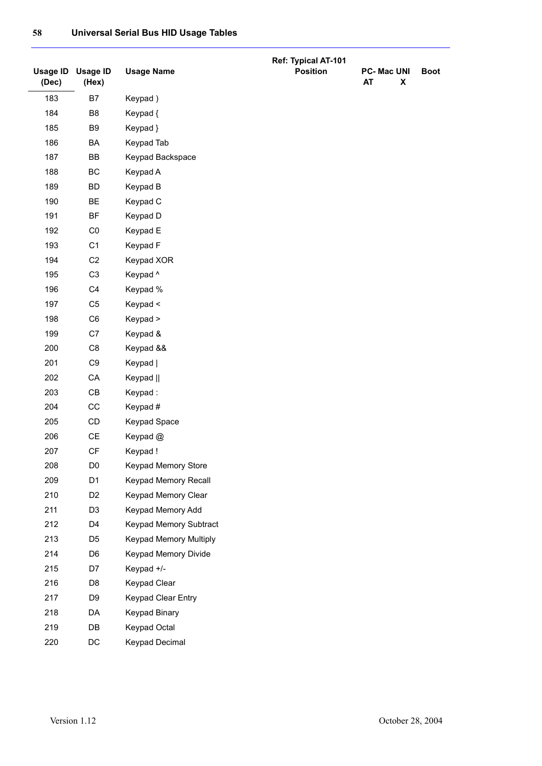|                   |                          |                        | Ref: Typical AT-101 |                                     |             |
|-------------------|--------------------------|------------------------|---------------------|-------------------------------------|-------------|
| Usage ID<br>(Dec) | <b>Usage ID</b><br>(Hex) | <b>Usage Name</b>      | <b>Position</b>     | <b>PC-Mac UNI</b><br><b>AT</b><br>X | <b>Boot</b> |
| 183               | B7                       | Keypad)                |                     |                                     |             |
| 184               | B <sub>8</sub>           | Keypad {               |                     |                                     |             |
| 185               | B <sub>9</sub>           | Keypad }               |                     |                                     |             |
| 186               | BA                       | Keypad Tab             |                     |                                     |             |
| 187               | BB                       | Keypad Backspace       |                     |                                     |             |
| 188               | BC                       | Keypad A               |                     |                                     |             |
| 189               | <b>BD</b>                | Keypad B               |                     |                                     |             |
| 190               | <b>BE</b>                | Keypad C               |                     |                                     |             |
| 191               | <b>BF</b>                | Keypad D               |                     |                                     |             |
| 192               | C <sub>0</sub>           | Keypad E               |                     |                                     |             |
| 193               | C <sub>1</sub>           | Keypad F               |                     |                                     |             |
| 194               | C <sub>2</sub>           | Keypad XOR             |                     |                                     |             |
| 195               | C <sub>3</sub>           | Keypad ^               |                     |                                     |             |
| 196               | C <sub>4</sub>           | Keypad %               |                     |                                     |             |
| 197               | C <sub>5</sub>           | Keypad <               |                     |                                     |             |
| 198               | C <sub>6</sub>           | Keypad >               |                     |                                     |             |
| 199               | C7                       | Keypad &               |                     |                                     |             |
| 200               | C <sub>8</sub>           | Keypad &&              |                     |                                     |             |
| 201               | C9                       | Keypad                 |                     |                                     |             |
| 202               | CA                       | Keypad                 |                     |                                     |             |
| 203               | CB                       | Keypad:                |                     |                                     |             |
| 204               | CC                       | Keypad #               |                     |                                     |             |
| 205               | $\mathsf{CD}$            | Keypad Space           |                     |                                     |             |
| 206               | CE                       | Keypad @               |                     |                                     |             |
| 207               | CF                       | Keypad!                |                     |                                     |             |
| 208               | D <sub>0</sub>           | Keypad Memory Store    |                     |                                     |             |
| 209               | D <sub>1</sub>           | Keypad Memory Recall   |                     |                                     |             |
| 210               | D <sub>2</sub>           | Keypad Memory Clear    |                     |                                     |             |
| 211               | D <sub>3</sub>           | Keypad Memory Add      |                     |                                     |             |
| 212               | D <sub>4</sub>           | Keypad Memory Subtract |                     |                                     |             |
| 213               | D <sub>5</sub>           | Keypad Memory Multiply |                     |                                     |             |
| 214               | D <sub>6</sub>           | Keypad Memory Divide   |                     |                                     |             |
| 215               | D7                       | Keypad +/-             |                     |                                     |             |
| 216               | D <sub>8</sub>           | Keypad Clear           |                     |                                     |             |
| 217               | D <sub>9</sub>           | Keypad Clear Entry     |                     |                                     |             |
| 218               | DA                       | <b>Keypad Binary</b>   |                     |                                     |             |
| 219               | DB                       | Keypad Octal           |                     |                                     |             |
| 220               | DC                       | <b>Keypad Decimal</b>  |                     |                                     |             |